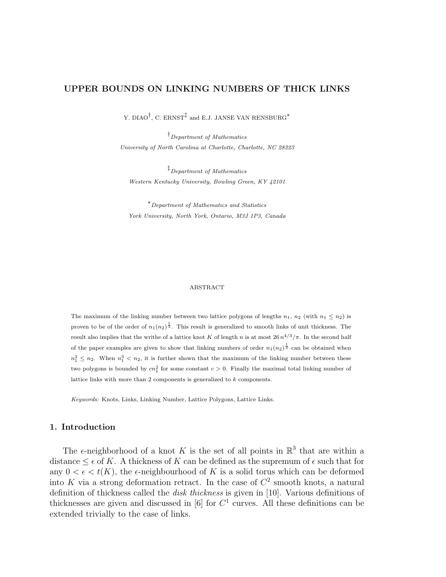# UPPER BOUNDS ON LINKING NUMBERS OF THICK LINKS

Y. DIAO $^\dagger$ , C. ERNST $^\ddagger$  and E.J. JANSE VAN RENSBURG $^*$ 

†Department of Mathematics University of North Carolina at Charlotte, Charlotte, NC 28223

‡Department of Mathematics Western Kentucky University, Bowling Green, KY 42101

<sup>∗</sup>Department of Mathematics and Statistics York University, North York, Ontario, M3J 1P3, Canada

#### ABSTRACT

The maximum of the linking number between two lattice polygons of lengths  $n_1$ ,  $n_2$  (with  $n_1 \leq n_2$ ) is proven to be of the order of  $n_1(n_2)^{\frac{1}{3}}$ . This result is generalized to smooth links of unit thickness. The result also implies that the writhe of a lattice knot K of length n is at most  $26 n^{4/3}/\pi$ . In the second half of the paper examples are given to show that linking numbers of order  $n_1(n_2)^{\frac{1}{3}}$  can be obtained when  $n_1^3 \leq n_2$ . When  $n_1^3 < n_2$ , it is further shown that the maximum of the linking number between these two polygons is bounded by  $cn_1^2$  for some constant  $c > 0$ . Finally the maximal total linking number of lattice links with more than 2 components is generalized to k components.

Keywords: Knots, Links, Linking Number, Lattice Polygons, Lattice Links.

# 1. Introduction

The  $\epsilon$ -neighborhood of a knot K is the set of all points in  $\mathbb{R}^3$  that are within a distance  $\leq \epsilon$  of K. A thickness of K can be defined as the supremum of  $\epsilon$  such that for any  $0 < \epsilon < t(K)$ , the  $\epsilon$ -neighbourhood of K is a solid torus which can be deformed into K via a strong deformation retract. In the case of  $C<sup>2</sup>$  smooth knots, a natural definition of thickness called the disk thickness is given in [10]. Various definitions of thicknesses are given and discussed in [6] for  $C<sup>1</sup>$  curves. All these definitions can be extended trivially to the case of links.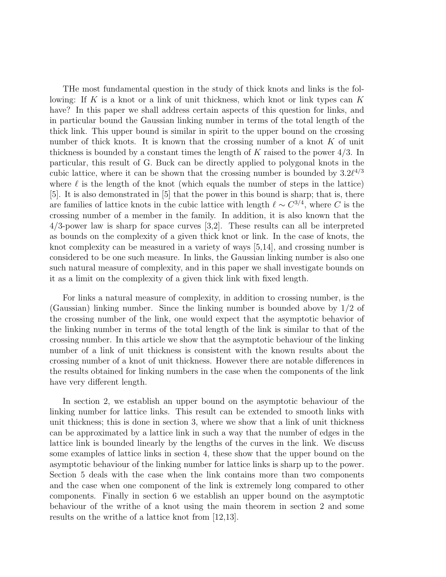THe most fundamental question in the study of thick knots and links is the following: If  $K$  is a knot or a link of unit thickness, which knot or link types can  $K$ have? In this paper we shall address certain aspects of this question for links, and in particular bound the Gaussian linking number in terms of the total length of the thick link. This upper bound is similar in spirit to the upper bound on the crossing number of thick knots. It is known that the crossing number of a knot  $K$  of unit thickness is bounded by a constant times the length of K raised to the power  $4/3$ . In particular, this result of G. Buck can be directly applied to polygonal knots in the cubic lattice, where it can be shown that the crossing number is bounded by  $3.2\ell^{4/3}$ where  $\ell$  is the length of the knot (which equals the number of steps in the lattice) [5]. It is also demonstrated in [5] that the power in this bound is sharp; that is, there are families of lattice knots in the cubic lattice with length  $\ell \sim C^{3/4}$ , where C is the crossing number of a member in the family. In addition, it is also known that the 4/3-power law is sharp for space curves [3,2]. These results can all be interpreted as bounds on the complexity of a given thick knot or link. In the case of knots, the knot complexity can be measured in a variety of ways [5,14], and crossing number is considered to be one such measure. In links, the Gaussian linking number is also one such natural measure of complexity, and in this paper we shall investigate bounds on it as a limit on the complexity of a given thick link with fixed length.

For links a natural measure of complexity, in addition to crossing number, is the (Gaussian) linking number. Since the linking number is bounded above by 1/2 of the crossing number of the link, one would expect that the asymptotic behavior of the linking number in terms of the total length of the link is similar to that of the crossing number. In this article we show that the asymptotic behaviour of the linking number of a link of unit thickness is consistent with the known results about the crossing number of a knot of unit thickness. However there are notable differences in the results obtained for linking numbers in the case when the components of the link have very different length.

In section 2, we establish an upper bound on the asymptotic behaviour of the linking number for lattice links. This result can be extended to smooth links with unit thickness; this is done in section 3, where we show that a link of unit thickness can be approximated by a lattice link in such a way that the number of edges in the lattice link is bounded linearly by the lengths of the curves in the link. We discuss some examples of lattice links in section 4, these show that the upper bound on the asymptotic behaviour of the linking number for lattice links is sharp up to the power. Section 5 deals with the case when the link contains more than two components and the case when one component of the link is extremely long compared to other components. Finally in section 6 we establish an upper bound on the asymptotic behaviour of the writhe of a knot using the main theorem in section 2 and some results on the writhe of a lattice knot from [12,13].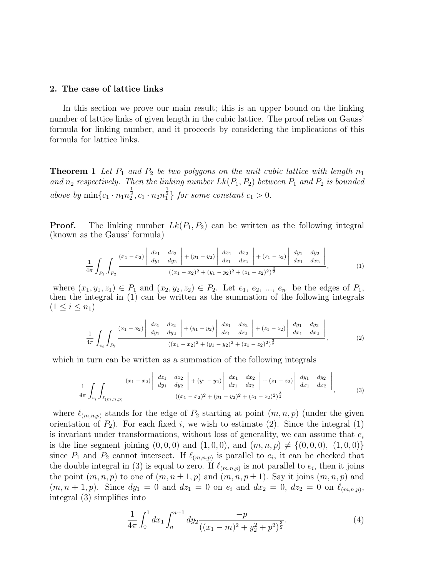#### 2. The case of lattice links

In this section we prove our main result; this is an upper bound on the linking number of lattice links of given length in the cubic lattice. The proof relies on Gauss' formula for linking number, and it proceeds by considering the implications of this formula for lattice links.

**Theorem 1** Let  $P_1$  and  $P_2$  be two polygons on the unit cubic lattice with length  $n_1$ and  $n_2$  respectively. Then the linking number  $Lk(P_1, P_2)$  between  $P_1$  and  $P_2$  is bounded above by  $\min\{c_1 \cdot n_1 n_2^{\frac{1}{3}}, c_1 \cdot n_2 n_1^{\frac{1}{3}}\}$  for some constant  $c_1 > 0$ .

**Proof.** The linking number  $Lk(P_1, P_2)$  can be written as the following integral (known as the Gauss' formula)

$$
\frac{1}{4\pi} \int_{P_1} \int_{P_2} \frac{(x_1 - x_2) \left| \begin{array}{cc} dz_1 & dz_2 \\ dy_1 & dy_2 \end{array} \right| + (y_1 - y_2) \left| \begin{array}{cc} dx_1 & dx_2 \\ dz_1 & dz_2 \end{array} \right| + (z_1 - z_2) \left| \begin{array}{cc} dy_1 & dy_2 \\ dx_1 & dx_2 \end{array} \right|}{(x_1 - x_2)^2 + (y_1 - y_2)^2 + (z_1 - z_2)^2)^{\frac{3}{2}}}, \quad (1)
$$

where  $(x_1, y_1, z_1) \in P_1$  and  $(x_2, y_2, z_2) \in P_2$ . Let  $e_1, e_2, ..., e_{n_1}$  be the edges of  $P_1$ , then the integral in (1) can be written as the summation of the following integrals  $(1 \le i \le n_1)$ 

$$
\frac{1}{4\pi} \int_{e_i} \int_{P_2} \frac{(x_1 - x_2) \left| \begin{array}{cc} dz_1 & dz_2 \\ dy_1 & dy_2 \end{array} \right| + (y_1 - y_2) \left| \begin{array}{cc} dx_1 & dx_2 \\ dz_1 & dz_2 \end{array} \right| + (z_1 - z_2) \left| \begin{array}{cc} dy_1 & dy_2 \\ dx_1 & dx_2 \end{array} \right|}{(x_1 - x_2)^2 + (y_1 - y_2)^2 + (z_1 - z_2)^2)^{\frac{3}{2}}},\tag{2}
$$

which in turn can be written as a summation of the following integrals

$$
\frac{1}{4\pi} \int_{e_i} \int_{\ell_{(m,n,p)}} \frac{(x_1 - x_2) \begin{vmatrix} dz_1 & dz_2 \\ dy_1 & dy_2 \end{vmatrix} + (y_1 - y_2) \begin{vmatrix} dx_1 & dx_2 \\ dz_1 & dz_2 \end{vmatrix} + (z_1 - z_2) \begin{vmatrix} dy_1 & dy_2 \\ dx_1 & dz_2 \end{vmatrix}}{((x_1 - x_2)^2 + (y_1 - y_2)^2 + (z_1 - z_2)^2)^{\frac{3}{2}}}, \quad (3)
$$

where  $\ell_{(m,n,p)}$  stands for the edge of  $P_2$  starting at point  $(m, n, p)$  (under the given orientation of  $P_2$ ). For each fixed i, we wish to estimate (2). Since the integral (1) is invariant under transformations, without loss of generality, we can assume that  $e_i$ is the line segment joining  $(0, 0, 0)$  and  $(1, 0, 0)$ , and  $(m, n, p) \neq \{(0, 0, 0), (1, 0, 0)\}\$ since  $P_1$  and  $P_2$  cannot intersect. If  $\ell_{(m,n,p)}$  is parallel to  $e_i$ , it can be checked that the double integral in (3) is equal to zero. If  $\ell_{(m,n,p)}$  is not parallel to  $e_i$ , then it joins the point  $(m, n, p)$  to one of  $(m, n \pm 1, p)$  and  $(m, n, p \pm 1)$ . Say it joins  $(m, n, p)$  and  $(m, n + 1, p)$ . Since  $dy_1 = 0$  and  $dz_1 = 0$  on  $e_i$  and  $dx_2 = 0$ ,  $dz_2 = 0$  on  $\ell_{(m,n,p)}$ , integral (3) simplifies into

$$
\frac{1}{4\pi} \int_0^1 dx_1 \int_n^{n+1} dy_2 \frac{-p}{((x_1 - m)^2 + y_2^2 + p^2)^{\frac{3}{2}}}.
$$
\n(4)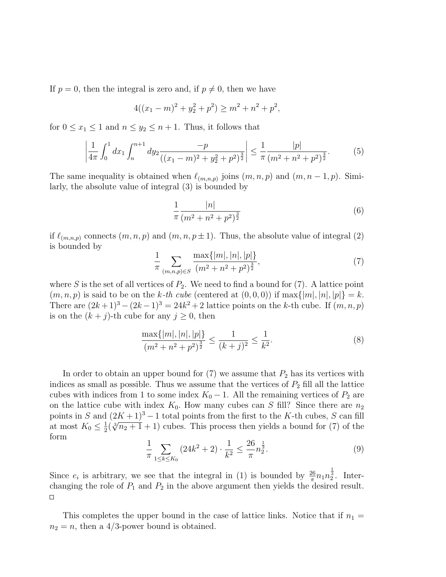If  $p = 0$ , then the integral is zero and, if  $p \neq 0$ , then we have

$$
4((x_1 - m)^2 + y_2^2 + p^2) \ge m^2 + n^2 + p^2,
$$

for  $0 \leq x_1 \leq 1$  and  $n \leq y_2 \leq n+1$ . Thus, it follows that

$$
\left|\frac{1}{4\pi} \int_0^1 dx_1 \int_n^{n+1} dy_2 \frac{-p}{((x_1 - m)^2 + y_2^2 + p^2)^{\frac{3}{2}}}\right| \le \frac{1}{\pi} \frac{|p|}{(m^2 + n^2 + p^2)^{\frac{3}{2}}}.
$$
(5)

The same inequality is obtained when  $\ell_{(m,n,p)}$  joins  $(m, n, p)$  and  $(m, n - 1, p)$ . Similarly, the absolute value of integral (3) is bounded by

$$
\frac{1}{\pi} \frac{|n|}{(m^2 + n^2 + p^2)^{\frac{3}{2}}} \tag{6}
$$

if  $\ell_{(m,n,p)}$  connects  $(m, n, p)$  and  $(m, n, p \pm 1)$ . Thus, the absolute value of integral (2) is bounded by

$$
\frac{1}{\pi} \sum_{(m,n,p)\in S} \frac{\max\{|m|, |n|, |p|\}}{(m^2 + n^2 + p^2)^{\frac{3}{2}}},\tag{7}
$$

where S is the set of all vertices of  $P_2$ . We need to find a bound for (7). A lattice point  $(m, n, p)$  is said to be on the k-th cube (centered at  $(0, 0, 0)$ ) if max $\{|m|, |n|, |p|\} = k$ . There are  $(2k+1)^3 - (2k-1)^3 = 24k^2 + 2$  lattice points on the k-th cube. If  $(m, n, p)$ is on the  $(k + j)$ -th cube for any  $j \geq 0$ , then

$$
\frac{\max\{|m|, |n|, |p|\}}{(m^2 + n^2 + p^2)^{\frac{3}{2}}} \le \frac{1}{(k+j)^2} \le \frac{1}{k^2}.
$$
\n(8)

In order to obtain an upper bound for  $(7)$  we assume that  $P_2$  has its vertices with indices as small as possible. Thus we assume that the vertices of  $P_2$  fill all the lattice cubes with indices from 1 to some index  $K_0 - 1$ . All the remaining vertices of  $P_2$  are on the lattice cube with index  $K_0$ . How many cubes can S fill? Since there are  $n_2$ points in S and  $(2K+1)^3 - 1$  total points from the first to the K-th cubes, S can fill at most  $K_0 \leq \frac{1}{2}$  $\frac{1}{2}(\sqrt[3]{n_2+1}+1)$  cubes. This process then yields a bound for (7) of the form

$$
\frac{1}{\pi} \sum_{1 \le k \le K_0} \left( 24k^2 + 2 \right) \cdot \frac{1}{k^2} \le \frac{26}{\pi} n_2^{\frac{1}{3}}.
$$
\n(9)

Since  $e_i$  is arbitrary, we see that the integral in (1) is bounded by  $\frac{26}{\pi}n_1n_2^{\frac{1}{3}}$ . Interchanging the role of  $P_1$  and  $P_2$  in the above argument then yields the desired result.  $\Box$ 

This completes the upper bound in the case of lattice links. Notice that if  $n_1 =$  $n_2 = n$ , then a 4/3-power bound is obtained.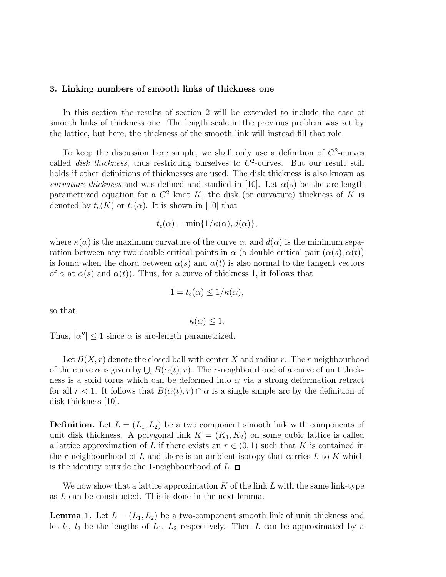## 3. Linking numbers of smooth links of thickness one

In this section the results of section 2 will be extended to include the case of smooth links of thickness one. The length scale in the previous problem was set by the lattice, but here, the thickness of the smooth link will instead fill that role.

To keep the discussion here simple, we shall only use a definition of  $C<sup>2</sup>$ -curves called *disk thickness*, thus restricting ourselves to  $C^2$ -curves. But our result still holds if other definitions of thicknesses are used. The disk thickness is also known as curvature thickness and was defined and studied in [10]. Let  $\alpha(s)$  be the arc-length parametrized equation for a  $C^2$  knot K, the disk (or curvature) thickness of K is denoted by  $t_c(K)$  or  $t_c(\alpha)$ . It is shown in [10] that

$$
t_c(\alpha) = \min\{1/\kappa(\alpha), d(\alpha)\},\
$$

where  $\kappa(\alpha)$  is the maximum curvature of the curve  $\alpha$ , and  $d(\alpha)$  is the minimum separation between any two double critical points in  $\alpha$  (a double critical pair  $(\alpha(s), \alpha(t))$ ) is found when the chord between  $\alpha(s)$  and  $\alpha(t)$  is also normal to the tangent vectors of  $\alpha$  at  $\alpha(s)$  and  $\alpha(t)$ ). Thus, for a curve of thickness 1, it follows that

$$
1 = t_c(\alpha) \le 1/\kappa(\alpha),
$$

so that

$$
\kappa(\alpha) \leq 1.
$$

Thus,  $|\alpha''| \leq 1$  since  $\alpha$  is arc-length parametrized.

Let  $B(X, r)$  denote the closed ball with center X and radius r. The r-neighbourhood Let  $B(x, t)$  denote the closed ban while enter  $X$  and radius  $t$ . The r neighbourhood of the curve  $\alpha$  is given by  $\bigcup_t B(\alpha(t), r)$ . The r-neighbourhood of a curve of unit thickness is a solid torus which can be deformed into  $\alpha$  via a strong deformation retract for all  $r < 1$ . It follows that  $B(\alpha(t), r) \cap \alpha$  is a single simple arc by the definition of disk thickness [10].

**Definition.** Let  $L = (L_1, L_2)$  be a two component smooth link with components of unit disk thickness. A polygonal link  $K = (K_1, K_2)$  on some cubic lattice is called a lattice approximation of L if there exists an  $r \in (0,1)$  such that K is contained in the r-neighbourhood of  $L$  and there is an ambient isotopy that carries  $L$  to  $K$  which is the identity outside the 1-neighbourhood of  $L$ .  $\Box$ 

We now show that a lattice approximation  $K$  of the link  $L$  with the same link-type as L can be constructed. This is done in the next lemma.

**Lemma 1.** Let  $L = (L_1, L_2)$  be a two-component smooth link of unit thickness and let  $l_1$ ,  $l_2$  be the lengths of  $L_1$ ,  $L_2$  respectively. Then L can be approximated by a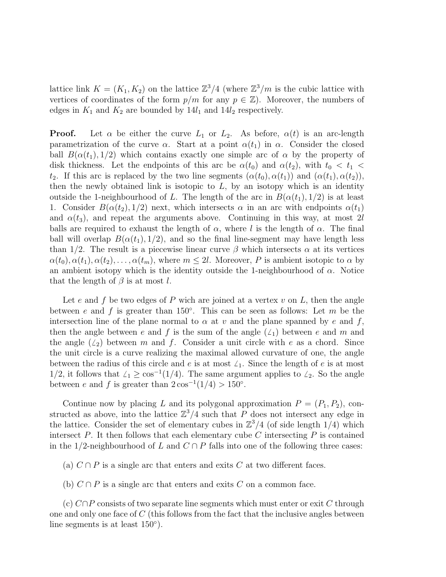lattice link  $K = (K_1, K_2)$  on the lattice  $\mathbb{Z}^3/4$  (where  $\mathbb{Z}^3/m$  is the cubic lattice with vertices of coordinates of the form  $p/m$  for any  $p \in \mathbb{Z}$ ). Moreover, the numbers of edges in  $K_1$  and  $K_2$  are bounded by  $14l_1$  and  $14l_2$  respectively.

**Proof.** Let  $\alpha$  be either the curve  $L_1$  or  $L_2$ . As before,  $\alpha(t)$  is an arc-length parametrization of the curve  $\alpha$ . Start at a point  $\alpha(t_1)$  in  $\alpha$ . Consider the closed ball  $B(\alpha(t_1), 1/2)$  which contains exactly one simple arc of  $\alpha$  by the property of disk thickness. Let the endpoints of this arc be  $\alpha(t_0)$  and  $\alpha(t_2)$ , with  $t_0 < t_1$ t<sub>2</sub>. If this arc is replaced by the two line segments  $(\alpha(t_0), \alpha(t_1))$  and  $(\alpha(t_1), \alpha(t_2))$ , then the newly obtained link is isotopic to  $L$ , by an isotopy which is an identity outside the 1-neighbourhood of L. The length of the arc in  $B(\alpha(t_1), 1/2)$  is at least 1. Consider  $B(\alpha(t_2), 1/2)$  next, which intersects  $\alpha$  in an arc with endpoints  $\alpha(t_1)$ and  $\alpha(t_3)$ , and repeat the arguments above. Continuing in this way, at most 2l balls are required to exhaust the length of  $\alpha$ , where l is the length of  $\alpha$ . The final ball will overlap  $B(\alpha(t_1), 1/2)$ , and so the final line-segment may have length less than 1/2. The result is a piecewise linear curve  $\beta$  which intersects  $\alpha$  at its vertices  $\alpha(t_0), \alpha(t_1), \alpha(t_2), \ldots, \alpha(t_m)$ , where  $m \leq 2l$ . Moreover, P is ambient isotopic to  $\alpha$  by an ambient isotopy which is the identity outside the 1-neighbourhood of  $\alpha$ . Notice that the length of  $\beta$  is at most l.

Let e and f be two edges of P wich are joined at a vertex  $v$  on  $L$ , then the angle between e and f is greater than 150 $^{\circ}$ . This can be seen as follows: Let m be the intersection line of the plane normal to  $\alpha$  at v and the plane spanned by e and f, then the angle between e and f is the sum of the angle  $(\ell_1)$  between e and m and the angle  $(\angle_2)$  between m and f. Consider a unit circle with e as a chord. Since the unit circle is a curve realizing the maximal allowed curvature of one, the angle between the radius of this circle and e is at most  $\angle_1$ . Since the length of e is at most 1/2, it follows that  $\angle$ <sub>1</sub> ≥ cos<sup>-1</sup>(1/4). The same argument applies to  $\angle$ <sub>2</sub>. So the angle between e and f is greater than  $2\cos^{-1}(1/4) > 150^{\circ}$ .

Continue now by placing L and its polygonal approximation  $P = (P_1, P_2)$ , constructed as above, into the lattice  $\mathbb{Z}^3/4$  such that P does not intersect any edge in the lattice. Consider the set of elementary cubes in  $\mathbb{Z}^3/4$  (of side length 1/4) which intersect  $P$ . It then follows that each elementary cube  $C$  intersecting  $P$  is contained in the 1/2-neighbourhood of L and  $C \cap P$  falls into one of the following three cases:

(a)  $C \cap P$  is a single arc that enters and exits C at two different faces.

(b)  $C \cap P$  is a single arc that enters and exits C on a common face.

(c)  $C \cap P$  consists of two separate line segments which must enter or exit C through one and only one face of  $C$  (this follows from the fact that the inclusive angles between line segments is at least  $150^\circ$ ).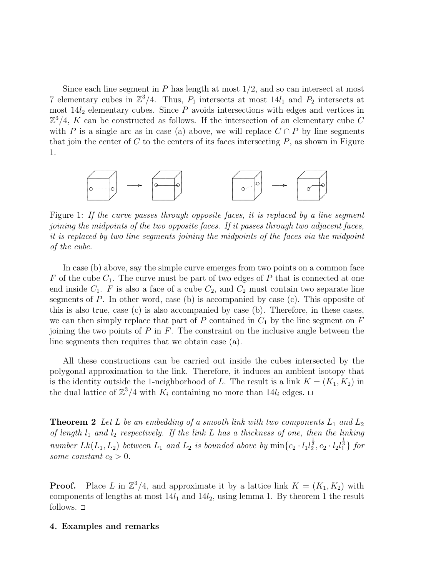Since each line segment in  $P$  has length at most  $1/2$ , and so can intersect at most 7 elementary cubes in  $\mathbb{Z}^3/4$ . Thus,  $P_1$  intersects at most  $14l_1$  and  $P_2$  intersects at most  $14l_2$  elementary cubes. Since  $P$  avoids intersections with edges and vertices in  $\mathbb{Z}^3/4$ , K can be constructed as follows. If the intersection of an elementary cube C with P is a single arc as in case (a) above, we will replace  $C \cap P$  by line segments that join the center of  $C$  to the centers of its faces intersecting  $P$ , as shown in Figure 1.



Figure 1: If the curve passes through opposite faces, it is replaced by a line segment joining the midpoints of the two opposite faces. If it passes through two adjacent faces, it is replaced by two line segments joining the midpoints of the faces via the midpoint of the cube.

In case (b) above, say the simple curve emerges from two points on a common face F of the cube  $C_1$ . The curve must be part of two edges of P that is connected at one end inside  $C_1$ . F is also a face of a cube  $C_2$ , and  $C_2$  must contain two separate line segments of  $P$ . In other word, case (b) is accompanied by case (c). This opposite of this is also true, case (c) is also accompanied by case (b). Therefore, in these cases, we can then simply replace that part of P contained in  $C_1$  by the line segment on F joining the two points of  $P$  in  $F$ . The constraint on the inclusive angle between the line segments then requires that we obtain case (a).

All these constructions can be carried out inside the cubes intersected by the polygonal approximation to the link. Therefore, it induces an ambient isotopy that is the identity outside the 1-neighborhood of L. The result is a link  $K = (K_1, K_2)$  in the dual lattice of  $\mathbb{Z}^3/4$  with  $K_i$  containing no more than  $14l_i$  edges.

**Theorem 2** Let L be an embedding of a smooth link with two components  $L_1$  and  $L_2$ of length  $l_1$  and  $l_2$  respectively. If the link L has a thickness of one, then the linking number  $Lk(L_1, L_2)$  between  $L_1$  and  $L_2$  is bounded above by  $\min\{c_2 \cdot l_1l_2^{\frac{1}{3}}, c_2 \cdot l_2l_1^{\frac{1}{3}}\}$  for some constant  $c_2 > 0$ .

**Proof.** Place L in  $\mathbb{Z}^3/4$ , and approximate it by a lattice link  $K = (K_1, K_2)$  with components of lengths at most  $14l_1$  and  $14l_2$ , using lemma 1. By theorem 1 the result follows.  $\Box$ 

#### 4. Examples and remarks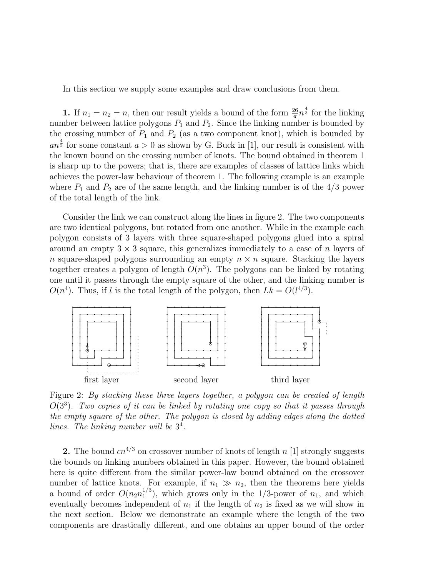In this section we supply some examples and draw conclusions from them.

**1.** If  $n_1 = n_2 = n$ , then our result yields a bound of the form  $\frac{26}{\pi} n^{\frac{4}{3}}$  for the linking number between lattice polygons  $P_1$  and  $P_2$ . Since the linking number is bounded by the crossing number of  $P_1$  and  $P_2$  (as a two component knot), which is bounded by  $an^{\frac{4}{3}}$  for some constant  $a > 0$  as shown by G. Buck in [1], our result is consistent with the known bound on the crossing number of knots. The bound obtained in theorem 1 is sharp up to the powers; that is, there are examples of classes of lattice links which achieves the power-law behaviour of theorem 1. The following example is an example where  $P_1$  and  $P_2$  are of the same length, and the linking number is of the 4/3 power of the total length of the link.

Consider the link we can construct along the lines in figure 2. The two components are two identical polygons, but rotated from one another. While in the example each polygon consists of 3 layers with three square-shaped polygons glued into a spiral around an empty  $3 \times 3$  square, this generalizes immediately to a case of n layers of n square-shaped polygons surrounding an empty  $n \times n$  square. Stacking the layers together creates a polygon of length  $O(n^3)$ . The polygons can be linked by rotating one until it passes through the empty square of the other, and the linking number is  $O(n^4)$ . Thus, if l is the total length of the polygon, then  $Lk = O(l^{4/3})$ .



Figure 2: By stacking these three layers together, a polygon can be created of length  $O(3^3)$ . Two copies of it can be linked by rotating one copy so that it passes through the empty square of the other. The polygon is closed by adding edges along the dotted lines. The linking number will be  $3<sup>4</sup>$ .

2. The bound  $cn^{4/3}$  on crossover number of knots of length n [1] strongly suggests the bounds on linking numbers obtained in this paper. However, the bound obtained here is quite different from the similar power-law bound obtained on the crossover number of lattice knots. For example, if  $n_1 \gg n_2$ , then the theorems here yields a bound of order  $O(n_2n_1^{1/3})$  $1/3$ , which grows only in the 1/3-power of  $n_1$ , and which eventually becomes independent of  $n_1$  if the length of  $n_2$  is fixed as we will show in the next section. Below we demonstrate an example where the length of the two components are drastically different, and one obtains an upper bound of the order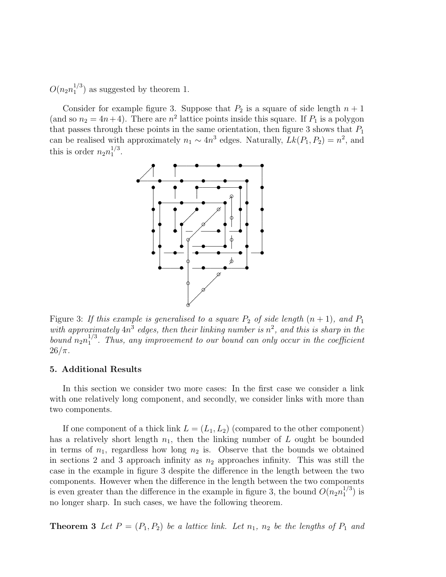$O(n_2n_1^{1/3})$  $_1^{1/3}$ ) as suggested by theorem 1.

Consider for example figure 3. Suppose that  $P_2$  is a square of side length  $n + 1$ (and so  $n_2 = 4n+4$ ). There are  $n^2$  lattice points inside this square. If  $P_1$  is a polygon that passes through these points in the same orientation, then figure 3 shows that  $P_1$ can be realised with approximately  $n_1 \sim 4n^3$  edges. Naturally,  $Lk(P_1, P_2) = n^2$ , and this is order  $n_2 n_1^{1/3}$  $_{1}^{1/3}.$ 



Figure 3: If this example is generalised to a square  $P_2$  of side length  $(n + 1)$ , and  $P_1$ with approximately  $4n^3$  edges, then their linking number is  $n^2$ , and this is sharp in the bound  $n_2n_1^{1/3}$  $1/3$ . Thus, any improvement to our bound can only occur in the coefficient  $26/\pi$ .

#### 5. Additional Results

In this section we consider two more cases: In the first case we consider a link with one relatively long component, and secondly, we consider links with more than two components.

If one component of a thick link  $L = (L_1, L_2)$  (compared to the other component) has a relatively short length  $n_1$ , then the linking number of L ought be bounded in terms of  $n_1$ , regardless how long  $n_2$  is. Observe that the bounds we obtained in sections 2 and 3 approach infinity as  $n_2$  approaches infinity. This was still the case in the example in figure 3 despite the difference in the length between the two components. However when the difference in the length between the two components is even greater than the difference in the example in figure 3, the bound  $O(n_2n_1^{1/3})$  $_1^{1/3}$ ) is no longer sharp. In such cases, we have the following theorem.

**Theorem 3** Let  $P = (P_1, P_2)$  be a lattice link. Let  $n_1$ ,  $n_2$  be the lengths of  $P_1$  and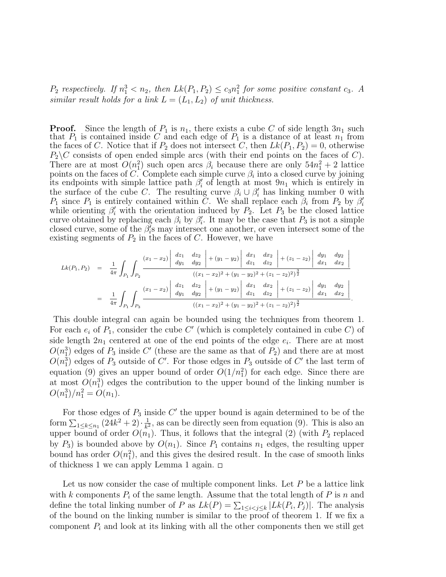$P_2$  respectively. If  $n_1^3 < n_2$ , then  $Lk(P_1, P_2) \leq c_3 n_1^2$  for some positive constant  $c_3$ . A similar result holds for a link  $L = (L_1, L_2)$  of unit thickness.

**Proof.** Since the length of  $P_1$  is  $n_1$ , there exists a cube C of side length  $3n_1$  such that  $P_1$  is contained inside C and each edge of  $P_1$  is a distance of at least  $n_1$  from the faces of C. Notice that if  $P_2$  does not intersect C, then  $Lk(P_1, P_2) = 0$ , otherwise  $P_2 \backslash C$  consists of open ended simple arcs (with their end points on the faces of C). There are at most  $O(n_1^2)$  such open arcs  $\beta_i$  because there are only  $54n_1^2 + 2$  lattice points on the faces of C. Complete each simple curve  $\beta_i$  into a closed curve by joining its endpoints with simple lattice path  $\beta_i'$  of length at most  $9n_1$  which is entirely in the surface of the cube C. The resulting curve  $\beta_i \cup \beta'_i$  has linking number 0 with  $P_1$  since  $P_1$  is entirely contained within C. We shall replace each  $\beta_i$  from  $P_2$  by  $\beta'_i$ while orienting  $\beta'_i$  with the orientation induced by  $P_2$ . Let  $P_3$  be the closed lattice curve obtained by replacing each  $\beta_i$  by  $\beta'_i$ . It may be the case that  $P_3$  is not a simple closed curve, some of the  $\beta_i^{\gamma}$ s may intersect one another, or even intersect some of the existing segments of  $P_2$  in the faces of C. However, we have

$$
Lk(P_1, P_2) = \frac{1}{4\pi} \int_{P_1} \int_{P_2} \frac{(x_1 - x_2) \left| \begin{array}{ccc} dz_1 & dz_2 \\ dy_1 & dy_2 \end{array} \right| + (y_1 - y_2) \left| \begin{array}{ccc} dx_1 & dx_2 \\ dz_1 & dz_2 \end{array} \right| + (z_1 - z_2) \left| \begin{array}{ccc} dy_1 & dy_2 \\ dx_1 & dx_2 \end{array} \right|}{((x_1 - x_2)^2 + (y_1 - y_2)^2 + (z_1 - z_2)^2)^{\frac{3}{2}}} \\
= \frac{1}{4\pi} \int_{P_1} \int_{P_3} \frac{(x_1 - x_2) \left| \begin{array}{ccc} dz_1 & dz_2 \\ dy_1 & dy_2 \end{array} \right| + (y_1 - y_2) \left| \begin{array}{ccc} dx_1 & dx_2 \\ dz_1 & dz_2 \end{array} \right| + (z_1 - z_2) \left| \begin{array}{ccc} dy_1 & dy_2 \\ dx_1 & dx_2 \end{array} \right|}{((x_1 - x_2)^2 + (y_1 - y_2)^2 + (z_1 - z_2)^2)^{\frac{3}{2}}} \\
= \frac{1}{4\pi} \int_{P_1} \int_{P_2} \frac{(x_1 - x_2) \left| \begin{array}{ccc} dz_1 & dz_2 \\ dy_1 & dy_2 \end{array} \right| + (y_1 - y_2) \left| \begin{array}{ccc} dz_1 & dz_2 \\ dz_1 & dz_2 \end{array} \right| + (z_1 - z_2) \left| \begin{array}{ccc} dy_1 & dy_2 \\ dx_1 & dx_2 \end{array} \right|
$$

.

This double integral can again be bounded using the techniques from theorem 1. For each  $e_i$  of  $P_1$ , consider the cube C' (which is completely contained in cube C) of side length  $2n_1$  centered at one of the end points of the edge  $e_i$ . There are at most  $O(n_1^3)$  edges of  $P_3$  inside C' (these are the same as that of  $P_2$ ) and there are at most  $O(n_1^3)$  edges of  $P_3$  outside of C'. For those edges in  $P_3$  outside of C' the last term of equation (9) gives an upper bound of order  $O(1/n_1^2)$  for each edge. Since there are at most  $O(n_1^3)$  edges the contribution to the upper bound of the linking number is  $O(n_1^3)/n_1^2 = O(n_1).$ 

For those edges of  $P_3$  inside  $C'$  the upper bound is again determined to be of the form  $\sum_{1 \leq k \leq n_1} (24k^2 + 2) \cdot \frac{1}{k^2}$  $\frac{1}{k^2}$ , as can be directly seen from equation (9). This is also an upper bound of order  $O(n_1)$ . Thus, it follows that the integral (2) (with  $P_2$  replaced by  $P_3$ ) is bounded above by  $O(n_1)$ . Since  $P_1$  contains  $n_1$  edges, the resulting upper bound has order  $O(n_1^2)$ , and this gives the desired result. In the case of smooth links of thickness 1 we can apply Lemma 1 again.  $\Box$ 

Let us now consider the case of multiple component links. Let  $P$  be a lattice link with k components  $P_i$  of the same length. Assume that the total length of P is n and define the total linking number of P as  $Lk(P) = \sum_{1 \leq i < j \leq k} |Lk(P_i, P_j)|$ . The analysis of the bound on the linking number is similar to the proof of theorem 1. If we fix a component  $P_i$  and look at its linking with all the other components then we still get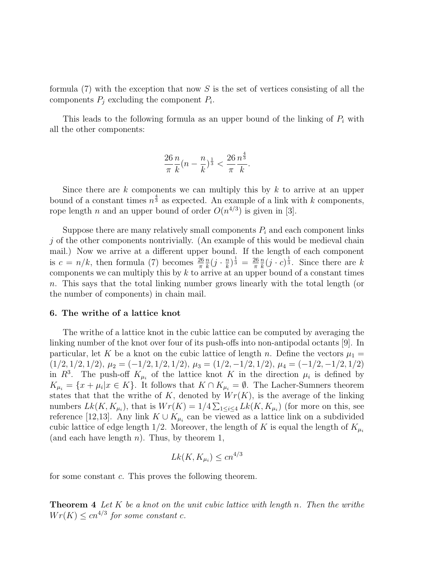formula  $(7)$  with the exception that now S is the set of vertices consisting of all the components  $P_j$  excluding the component  $P_i$ .

This leads to the following formula as an upper bound of the linking of  $P_i$  with all the other components:

$$
\frac{26}{\pi} \frac{n}{k} (n - \frac{n}{k})^{\frac{1}{3}} < \frac{26}{\pi} \frac{n^{\frac{4}{3}}}{k}.
$$

Since there are k components we can multiply this by  $k$  to arrive at an upper bound of a constant times  $n^{\frac{4}{3}}$  as expected. An example of a link with k components, rope length *n* and an upper bound of order  $O(n^{4/3})$  is given in [3].

Suppose there are many relatively small components  $P_i$  and each component links  $j$  of the other components nontrivially. (An example of this would be medieval chain mail.) Now we arrive at a different upper bound. If the length of each component is  $c = n/k$ , then formula (7) becomes  $\frac{26}{\pi}$ n  $\frac{n}{k}(j \cdot \frac{n}{k})$  $\frac{n}{k}$ ) $\frac{1}{3}$  =  $\frac{26}{\pi}$ π n  $\frac{n}{k}(j \cdot c)^{\frac{1}{3}}$ . Since there are k components we can multiply this by  $k$  to arrive at an upper bound of a constant times n. This says that the total linking number grows linearly with the total length (or the number of components) in chain mail.

## 6. The writhe of a lattice knot

The writhe of a lattice knot in the cubic lattice can be computed by averaging the linking number of the knot over four of its push-offs into non-antipodal octants [9]. In particular, let K be a knot on the cubic lattice of length n. Define the vectors  $\mu_1 =$  $(1/2, 1/2, 1/2), \mu_2 = (-1/2, 1/2, 1/2), \mu_3 = (1/2, -1/2, 1/2), \mu_4 = (-1/2, -1/2, 1/2)$ in  $R^3$ . The push-off  $K_{\mu_i}$  of the lattice knot K in the direction  $\mu_i$  is defined by  $K_{\mu_i} = \{x + \mu_i | x \in K\}.$  It follows that  $K \cap K_{\mu_i} = \emptyset$ . The Lacher-Sumners theorem states that that the writhe of K, denoted by  $Wr(K)$ , is the average of the linking numbers  $Lk(K, K_{\mu_i})$ , that is  $Wr(K) = 1/4 \sum_{1 \leq i \leq 4} Lk(K, K_{\mu_i})$  (for more on this, see reference [12,13]. Any link  $K \cup K_{\mu_i}$  can be viewed as a lattice link on a subdivided cubic lattice of edge length 1/2. Moreover, the length of K is equal the length of  $K_{\mu_i}$ (and each have length  $n$ ). Thus, by theorem 1,

$$
Lk(K, K_{\mu_i}) \le cn^{4/3}
$$

for some constant c. This proves the following theorem.

**Theorem 4** Let  $K$  be a knot on the unit cubic lattice with length n. Then the writhe  $Wr(K) \leq cn^{4/3}$  for some constant c.